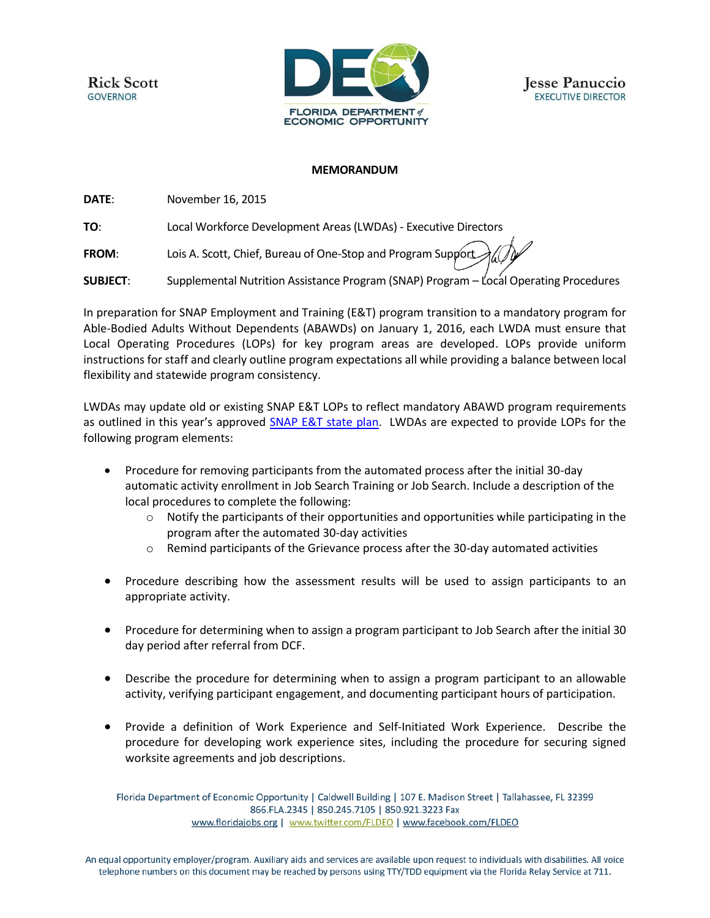**Rick Scott GOVERNOR** 





## **MEMORANDUM**

**DATE**: November 16, 2015

**TO**: Local Workforce Development Areas (LWDAs) - Executive Directors

**FROM:** Lois A. Scott, Chief, Bureau of One-Stop and Program Support

**SUBJECT:** Supplemental Nutrition Assistance Program (SNAP) Program – Local Operating Procedures

In preparation for SNAP Employment and Training (E&T) program transition to a mandatory program for Able-Bodied Adults Without Dependents (ABAWDs) on January 1, 2016, each LWDA must ensure that Local Operating Procedures (LOPs) for key program areas are developed. LOPs provide uniform instructions for staff and clearly outline program expectations all while providing a balance between local flexibility and statewide program consistency.

LWDAs may update old or existing SNAP E&T LOPs to reflect mandatory ABAWD program requirements as outlined in this year's approved [SNAP E&T state plan.](http://www.floridajobs.org/docs/default-source/office-of-workforce-services/floridasnap_et_stateplan_2016.pdf?sfvrsn=2) LWDAs are expected to provide LOPs for the following program elements:

- Procedure for removing participants from the automated process after the initial 30-day automatic activity enrollment in Job Search Training or Job Search. Include a description of the local procedures to complete the following:
	- $\circ$  Notify the participants of their opportunities and opportunities while participating in the program after the automated 30-day activities
	- $\circ$  Remind participants of the Grievance process after the 30-day automated activities
- Procedure describing how the assessment results will be used to assign participants to an appropriate activity.
- Procedure for determining when to assign a program participant to Job Search after the initial 30 day period after referral from DCF.
- Describe the procedure for determining when to assign a program participant to an allowable activity, verifying participant engagement, and documenting participant hours of participation.
- Provide a definition of Work Experience and Self-Initiated Work Experience. Describe the procedure for developing work experience sites, including the procedure for securing signed worksite agreements and job descriptions.

Florida Department of Economic Opportunity | Caldwell Building | 107 E. Madison Street | Tallahassee, FL 32399 866.FLA.2345 | 850.245.7105 | 850.921.3223 Fax www.floridajobs.org | www.twitter.com/FLDEO | www.facebook.com/FLDEO

An equal opportunity employer/program. Auxiliary aids and services are available upon request to individuals with disabilities. All voice telephone numbers on this document may be reached by persons using TTY/TDD equipment via the Florida Relay Service at 711.